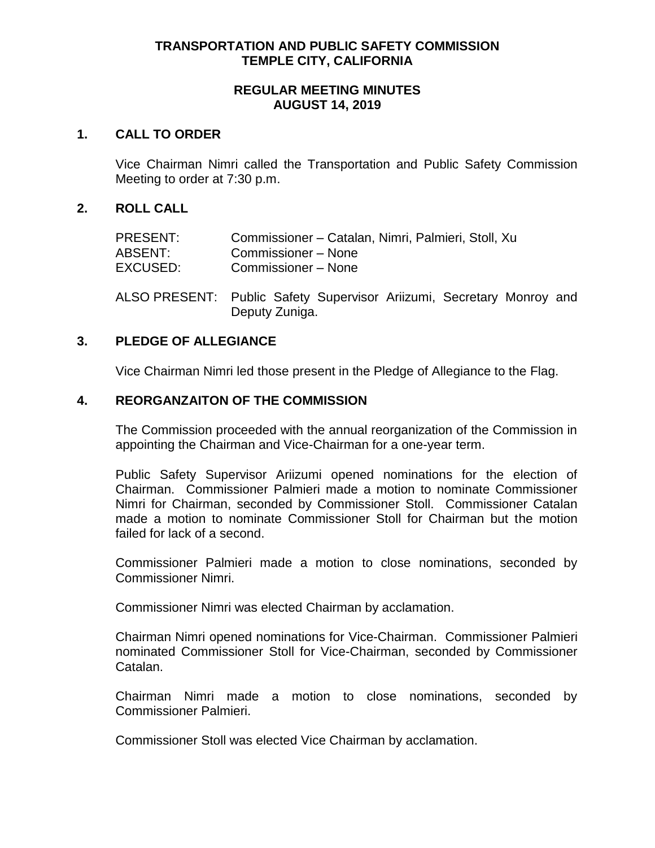## **TRANSPORTATION AND PUBLIC SAFETY COMMISSION TEMPLE CITY, CALIFORNIA**

#### **REGULAR MEETING MINUTES AUGUST 14, 2019**

#### **1. CALL TO ORDER**

Vice Chairman Nimri called the Transportation and Public Safety Commission Meeting to order at 7:30 p.m.

## **2. ROLL CALL**

| PRESENT:<br>ABSENT:<br>EXCUSED: | Commissioner - Catalan, Nimri, Palmieri, Stoll, Xu<br>Commissioner - None<br>Commissioner - None |  |
|---------------------------------|--------------------------------------------------------------------------------------------------|--|
|                                 | ALOO DDEOENE. Duklig Oafatu Oijaamiaan Anii-umi. Oaanatami Mannau                                |  |

ALSO PRESENT: Public Safety Supervisor Ariizumi, Secretary Monroy and Deputy Zuniga.

## **3. PLEDGE OF ALLEGIANCE**

Vice Chairman Nimri led those present in the Pledge of Allegiance to the Flag.

#### **4. REORGANZAITON OF THE COMMISSION**

The Commission proceeded with the annual reorganization of the Commission in appointing the Chairman and Vice-Chairman for a one-year term.

Public Safety Supervisor Ariizumi opened nominations for the election of Chairman. Commissioner Palmieri made a motion to nominate Commissioner Nimri for Chairman, seconded by Commissioner Stoll. Commissioner Catalan made a motion to nominate Commissioner Stoll for Chairman but the motion failed for lack of a second.

Commissioner Palmieri made a motion to close nominations, seconded by Commissioner Nimri.

Commissioner Nimri was elected Chairman by acclamation.

Chairman Nimri opened nominations for Vice-Chairman. Commissioner Palmieri nominated Commissioner Stoll for Vice-Chairman, seconded by Commissioner Catalan.

Chairman Nimri made a motion to close nominations, seconded by Commissioner Palmieri.

Commissioner Stoll was elected Vice Chairman by acclamation.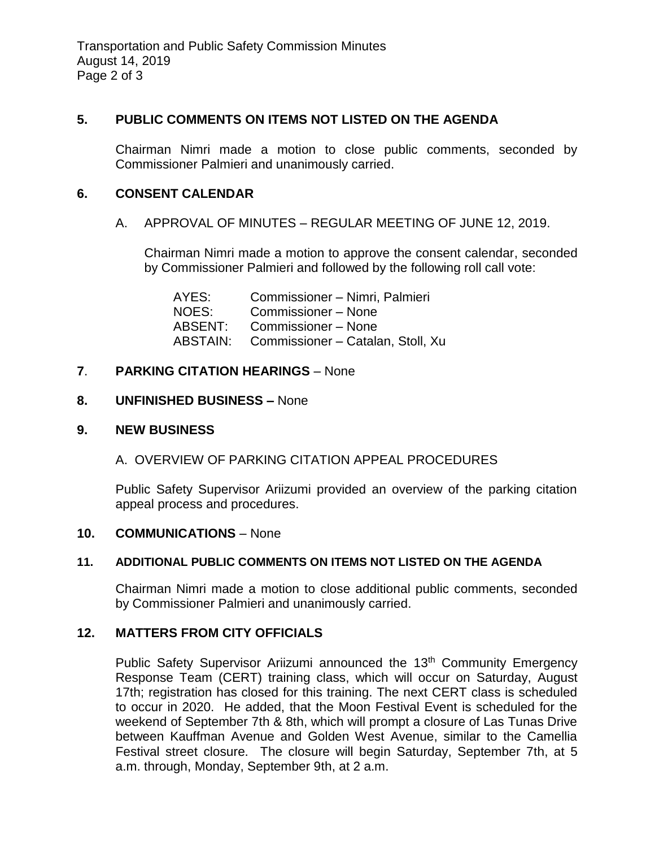## **5. PUBLIC COMMENTS ON ITEMS NOT LISTED ON THE AGENDA**

Chairman Nimri made a motion to close public comments, seconded by Commissioner Palmieri and unanimously carried.

## **6. CONSENT CALENDAR**

## A. APPROVAL OF MINUTES – REGULAR MEETING OF JUNE 12, 2019.

Chairman Nimri made a motion to approve the consent calendar, seconded by Commissioner Palmieri and followed by the following roll call vote:

AYES: Commissioner – Nimri, Palmieri NOES: Commissioner – None ABSENT: Commissioner – None ABSTAIN: Commissioner – Catalan, Stoll, Xu

## **7**. **PARKING CITATION HEARINGS** – None

## **8. UNFINISHED BUSINESS –** None

## **9. NEW BUSINESS**

# A. OVERVIEW OF PARKING CITATION APPEAL PROCEDURES

Public Safety Supervisor Ariizumi provided an overview of the parking citation appeal process and procedures.

## **10. COMMUNICATIONS** – None

## **11. ADDITIONAL PUBLIC COMMENTS ON ITEMS NOT LISTED ON THE AGENDA**

Chairman Nimri made a motion to close additional public comments, seconded by Commissioner Palmieri and unanimously carried.

## **12. MATTERS FROM CITY OFFICIALS**

Public Safety Supervisor Ariizumi announced the 13<sup>th</sup> Community Emergency Response Team (CERT) training class, which will occur on Saturday, August 17th; registration has closed for this training. The next CERT class is scheduled to occur in 2020. He added, that the Moon Festival Event is scheduled for the weekend of September 7th & 8th, which will prompt a closure of Las Tunas Drive between Kauffman Avenue and Golden West Avenue, similar to the Camellia Festival street closure. The closure will begin Saturday, September 7th, at 5 a.m. through, Monday, September 9th, at 2 a.m.